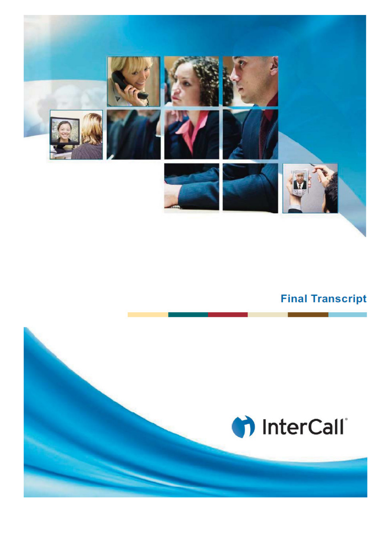

## **Final Transcript**

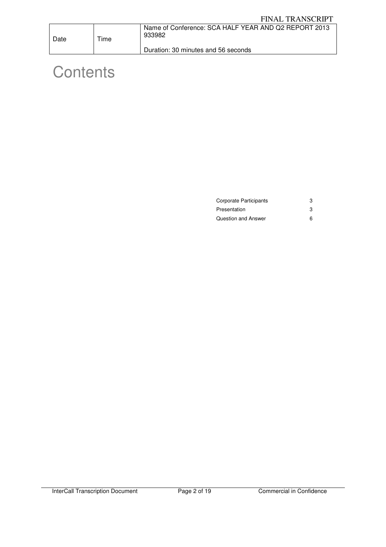| Date | $T$ ime | Name of Conference: SCA HALF YEAR AND Q2 REPORT 2013<br>933982 |
|------|---------|----------------------------------------------------------------|
|      |         | Duration: 30 minutes and 56 seconds                            |

# **Contents**

| Corporate Participants |   |
|------------------------|---|
| Presentation           | 3 |
| Question and Answer    | 6 |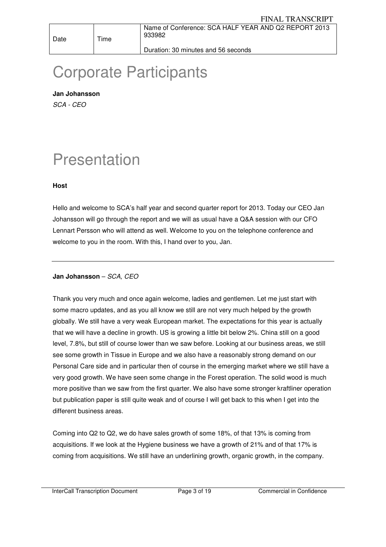Duration: 30 minutes and 56 seconds

## Corporate Participants

**Jan Johansson**  SCA - CEO

## Presentation

## **Host**

Hello and welcome to SCA's half year and second quarter report for 2013. Today our CEO Jan Johansson will go through the report and we will as usual have a Q&A session with our CFO Lennart Persson who will attend as well. Welcome to you on the telephone conference and welcome to you in the room. With this, I hand over to you, Jan.

## **Jan Johansson** – SCA, CEO

Thank you very much and once again welcome, ladies and gentlemen. Let me just start with some macro updates, and as you all know we still are not very much helped by the growth globally. We still have a very weak European market. The expectations for this year is actually that we will have a decline in growth. US is growing a little bit below 2%. China still on a good level, 7.8%, but still of course lower than we saw before. Looking at our business areas, we still see some growth in Tissue in Europe and we also have a reasonably strong demand on our Personal Care side and in particular then of course in the emerging market where we still have a very good growth. We have seen some change in the Forest operation. The solid wood is much more positive than we saw from the first quarter. We also have some stronger kraftliner operation but publication paper is still quite weak and of course I will get back to this when I get into the different business areas.

Coming into Q2 to Q2, we do have sales growth of some 18%, of that 13% is coming from acquisitions. If we look at the Hygiene business we have a growth of 21% and of that 17% is coming from acquisitions. We still have an underlining growth, organic growth, in the company.

InterCall Transcription Document Page 3 of 19 Commercial in Confidence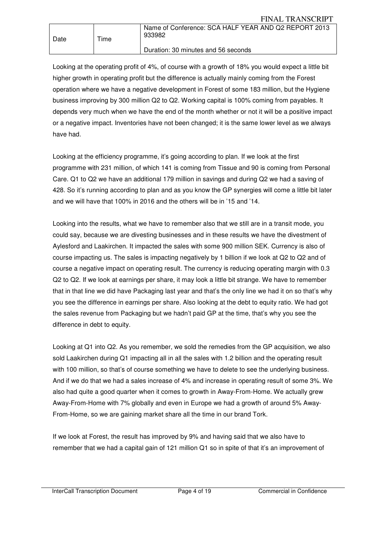| Date | $T$ ime | Name of Conference: SCA HALF YEAR AND Q2 REPORT 2013<br>933982 |
|------|---------|----------------------------------------------------------------|
|      |         | Duration: 30 minutes and 56 seconds                            |

Looking at the operating profit of 4%, of course with a growth of 18% you would expect a little bit higher growth in operating profit but the difference is actually mainly coming from the Forest operation where we have a negative development in Forest of some 183 million, but the Hygiene business improving by 300 million Q2 to Q2. Working capital is 100% coming from payables. It depends very much when we have the end of the month whether or not it will be a positive impact or a negative impact. Inventories have not been changed; it is the same lower level as we always have had.

Looking at the efficiency programme, it's going according to plan. If we look at the first programme with 231 million, of which 141 is coming from Tissue and 90 is coming from Personal Care. Q1 to Q2 we have an additional 179 million in savings and during Q2 we had a saving of 428. So it's running according to plan and as you know the GP synergies will come a little bit later and we will have that 100% in 2016 and the others will be in '15 and '14.

Looking into the results, what we have to remember also that we still are in a transit mode, you could say, because we are divesting businesses and in these results we have the divestment of Aylesford and Laakirchen. It impacted the sales with some 900 million SEK. Currency is also of course impacting us. The sales is impacting negatively by 1 billion if we look at Q2 to Q2 and of course a negative impact on operating result. The currency is reducing operating margin with 0.3 Q2 to Q2. If we look at earnings per share, it may look a little bit strange. We have to remember that in that line we did have Packaging last year and that's the only line we had it on so that's why you see the difference in earnings per share. Also looking at the debt to equity ratio. We had got the sales revenue from Packaging but we hadn't paid GP at the time, that's why you see the difference in debt to equity.

Looking at Q1 into Q2. As you remember, we sold the remedies from the GP acquisition, we also sold Laakirchen during Q1 impacting all in all the sales with 1.2 billion and the operating result with 100 million, so that's of course something we have to delete to see the underlying business. And if we do that we had a sales increase of 4% and increase in operating result of some 3%. We also had quite a good quarter when it comes to growth in Away-From-Home. We actually grew Away-From-Home with 7% globally and even in Europe we had a growth of around 5% Away-From-Home, so we are gaining market share all the time in our brand Tork.

If we look at Forest, the result has improved by 9% and having said that we also have to remember that we had a capital gain of 121 million Q1 so in spite of that it's an improvement of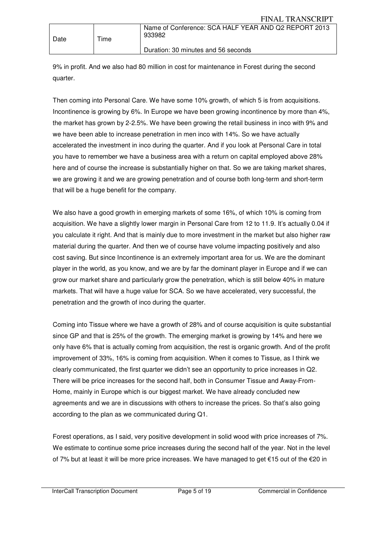| Date | Time | Name of Conference: SCA HALF YEAR AND Q2 REPORT 2013<br>933982 |
|------|------|----------------------------------------------------------------|
|      |      | Duration: 30 minutes and 56 seconds                            |

9% in profit. And we also had 80 million in cost for maintenance in Forest during the second quarter.

Then coming into Personal Care. We have some 10% growth, of which 5 is from acquisitions. Incontinence is growing by 6%. In Europe we have been growing incontinence by more than 4%, the market has grown by 2-2.5%. We have been growing the retail business in inco with 9% and we have been able to increase penetration in men inco with 14%. So we have actually accelerated the investment in inco during the quarter. And if you look at Personal Care in total you have to remember we have a business area with a return on capital employed above 28% here and of course the increase is substantially higher on that. So we are taking market shares, we are growing it and we are growing penetration and of course both long-term and short-term that will be a huge benefit for the company.

We also have a good growth in emerging markets of some 16%, of which 10% is coming from acquisition. We have a slightly lower margin in Personal Care from 12 to 11.9. It's actually 0.04 if you calculate it right. And that is mainly due to more investment in the market but also higher raw material during the quarter. And then we of course have volume impacting positively and also cost saving. But since Incontinence is an extremely important area for us. We are the dominant player in the world, as you know, and we are by far the dominant player in Europe and if we can grow our market share and particularly grow the penetration, which is still below 40% in mature markets. That will have a huge value for SCA. So we have accelerated, very successful, the penetration and the growth of inco during the quarter.

Coming into Tissue where we have a growth of 28% and of course acquisition is quite substantial since GP and that is 25% of the growth. The emerging market is growing by 14% and here we only have 6% that is actually coming from acquisition, the rest is organic growth. And of the profit improvement of 33%, 16% is coming from acquisition. When it comes to Tissue, as I think we clearly communicated, the first quarter we didn't see an opportunity to price increases in Q2. There will be price increases for the second half, both in Consumer Tissue and Away-From-Home, mainly in Europe which is our biggest market. We have already concluded new agreements and we are in discussions with others to increase the prices. So that's also going according to the plan as we communicated during Q1.

Forest operations, as I said, very positive development in solid wood with price increases of 7%. We estimate to continue some price increases during the second half of the year. Not in the level of 7% but at least it will be more price increases. We have managed to get €15 out of the €20 in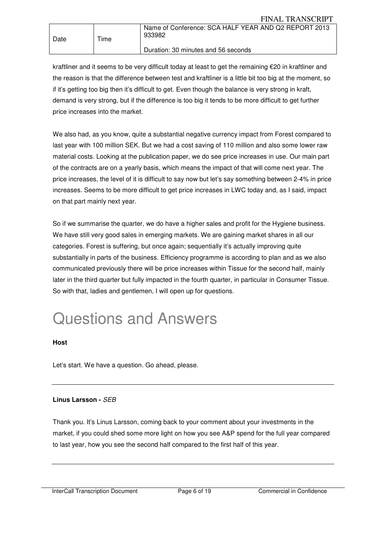| Date | $T$ ime | Name of Conference: SCA HALF YEAR AND Q2 REPORT 2013<br>933982 |
|------|---------|----------------------------------------------------------------|
|      |         | Duration: 30 minutes and 56 seconds                            |

kraftliner and it seems to be very difficult today at least to get the remaining €20 in kraftliner and the reason is that the difference between test and kraftliner is a little bit too big at the moment, so if it's getting too big then it's difficult to get. Even though the balance is very strong in kraft, demand is very strong, but if the difference is too big it tends to be more difficult to get further price increases into the market.

We also had, as you know, quite a substantial negative currency impact from Forest compared to last year with 100 million SEK. But we had a cost saving of 110 million and also some lower raw material costs. Looking at the publication paper, we do see price increases in use. Our main part of the contracts are on a yearly basis, which means the impact of that will come next year. The price increases, the level of it is difficult to say now but let's say something between 2-4% in price increases. Seems to be more difficult to get price increases in LWC today and, as I said, impact on that part mainly next year.

So if we summarise the quarter, we do have a higher sales and profit for the Hygiene business. We have still very good sales in emerging markets. We are gaining market shares in all our categories. Forest is suffering, but once again; sequentially it's actually improving quite substantially in parts of the business. Efficiency programme is according to plan and as we also communicated previously there will be price increases within Tissue for the second half, mainly later in the third quarter but fully impacted in the fourth quarter, in particular in Consumer Tissue. So with that, ladies and gentlemen, I will open up for questions.

# Questions and Answers

## **Host**

Let's start. We have a question. Go ahead, please.

## **Linus Larsson -** SEB

Thank you. It's Linus Larsson, coming back to your comment about your investments in the market, if you could shed some more light on how you see A&P spend for the full year compared to last year, how you see the second half compared to the first half of this year.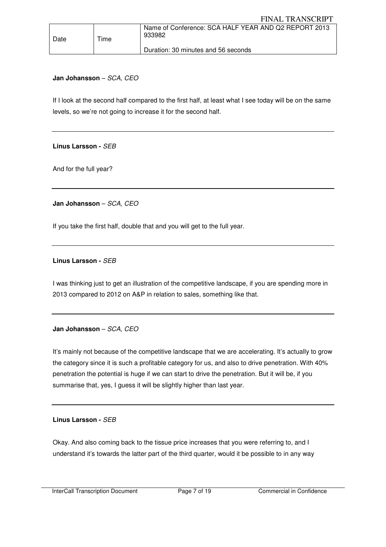## **Jan Johansson** – SCA, CEO

If I look at the second half compared to the first half, at least what I see today will be on the same levels, so we're not going to increase it for the second half.

**Linus Larsson -** SEB

And for the full year?

**Jan Johansson** – SCA, CEO

If you take the first half, double that and you will get to the full year.

## **Linus Larsson -** SEB

I was thinking just to get an illustration of the competitive landscape, if you are spending more in 2013 compared to 2012 on A&P in relation to sales, something like that.

## **Jan Johansson** – SCA, CEO

It's mainly not because of the competitive landscape that we are accelerating. It's actually to grow the category since it is such a profitable category for us, and also to drive penetration. With 40% penetration the potential is huge if we can start to drive the penetration. But it will be, if you summarise that, yes, I guess it will be slightly higher than last year.

#### **Linus Larsson -** SEB

Okay. And also coming back to the tissue price increases that you were referring to, and I understand it's towards the latter part of the third quarter, would it be possible to in any way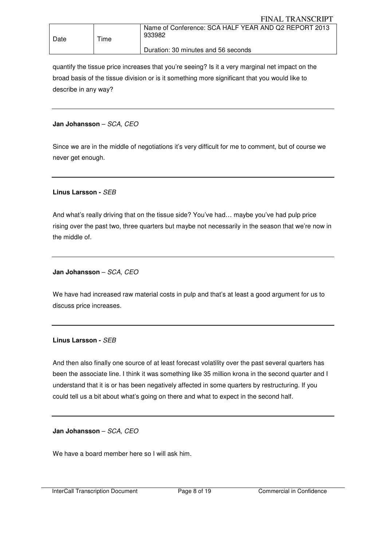| Date | Time | Name of Conference: SCA HALF YEAR AND Q2 REPORT 2013<br>933982 |
|------|------|----------------------------------------------------------------|
|      |      | Duration: 30 minutes and 56 seconds                            |

quantify the tissue price increases that you're seeing? Is it a very marginal net impact on the broad basis of the tissue division or is it something more significant that you would like to describe in any way?

## **Jan Johansson** – SCA, CEO

Since we are in the middle of negotiations it's very difficult for me to comment, but of course we never get enough.

## **Linus Larsson -** SEB

And what's really driving that on the tissue side? You've had… maybe you've had pulp price rising over the past two, three quarters but maybe not necessarily in the season that we're now in the middle of.

## **Jan Johansson** – SCA, CEO

We have had increased raw material costs in pulp and that's at least a good argument for us to discuss price increases.

#### **Linus Larsson -** SEB

And then also finally one source of at least forecast volatility over the past several quarters has been the associate line. I think it was something like 35 million krona in the second quarter and I understand that it is or has been negatively affected in some quarters by restructuring. If you could tell us a bit about what's going on there and what to expect in the second half.

**Jan Johansson** – SCA, CEO

We have a board member here so I will ask him.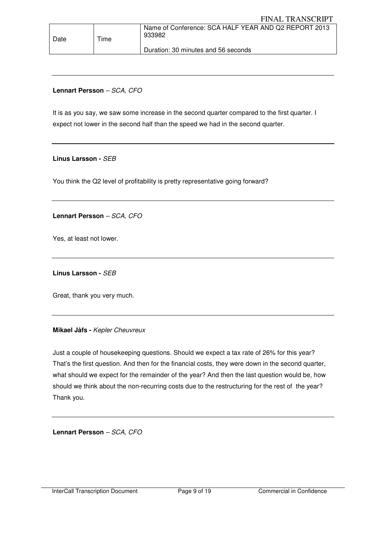## **Lennart Persson** – SCA, CFO

Date | Time

It is as you say, we saw some increase in the second quarter compared to the first quarter. I expect not lower in the second half than the speed we had in the second quarter.

Duration: 30 minutes and 56 seconds

#### **Linus Larsson -** SEB

You think the Q2 level of profitability is pretty representative going forward?

**Lennart Persson** – SCA, CFO

Yes, at least not lower.

**Linus Larsson -** SEB

Great, thank you very much.

#### **Mikael Jåfs -** Kepler Cheuvreux

Just a couple of housekeeping questions. Should we expect a tax rate of 26% for this year? That's the first question. And then for the financial costs, they were down in the second quarter, what should we expect for the remainder of the year? And then the last question would be, how should we think about the non-recurring costs due to the restructuring for the rest of the year? Thank you.

**Lennart Persson** – SCA, CFO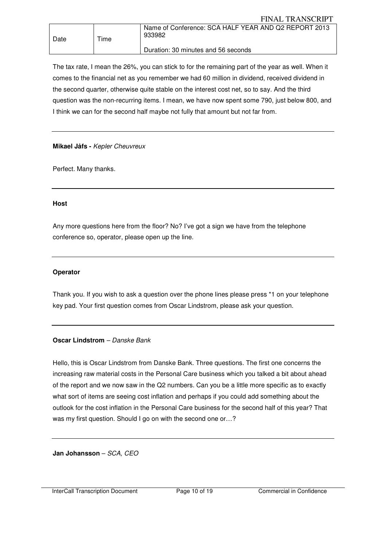The tax rate, I mean the 26%, you can stick to for the remaining part of the year as well. When it comes to the financial net as you remember we had 60 million in dividend, received dividend in the second quarter, otherwise quite stable on the interest cost net, so to say. And the third question was the non-recurring items. I mean, we have now spent some 790, just below 800, and I think we can for the second half maybe not fully that amount but not far from.

## **Mikael Jåfs -** Kepler Cheuvreux

Perfect. Many thanks.

## **Host**

Any more questions here from the floor? No? I've got a sign we have from the telephone conference so, operator, please open up the line.

## **Operator**

Thank you. If you wish to ask a question over the phone lines please press \*1 on your telephone key pad. Your first question comes from Oscar Lindstrom, please ask your question.

## **Oscar Lindstrom** – Danske Bank

Hello, this is Oscar Lindstrom from Danske Bank. Three questions. The first one concerns the increasing raw material costs in the Personal Care business which you talked a bit about ahead of the report and we now saw in the Q2 numbers. Can you be a little more specific as to exactly what sort of items are seeing cost inflation and perhaps if you could add something about the outlook for the cost inflation in the Personal Care business for the second half of this year? That was my first question. Should I go on with the second one or...?

**Jan Johansson** – SCA, CEO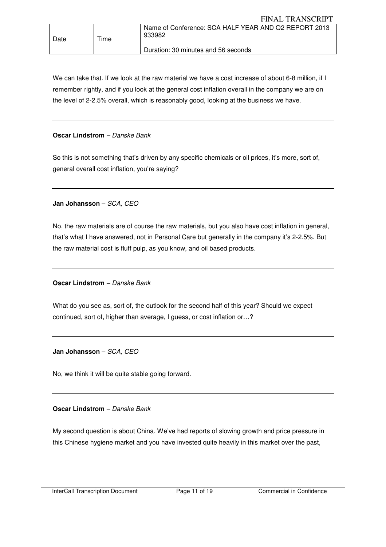We can take that. If we look at the raw material we have a cost increase of about 6-8 million, if I remember rightly, and if you look at the general cost inflation overall in the company we are on the level of 2-2.5% overall, which is reasonably good, looking at the business we have.

## **Oscar Lindstrom** – Danske Bank

So this is not something that's driven by any specific chemicals or oil prices, it's more, sort of, general overall cost inflation, you're saying?

**Jan Johansson** – SCA, CEO

No, the raw materials are of course the raw materials, but you also have cost inflation in general, that's what I have answered, not in Personal Care but generally in the company it's 2-2.5%. But the raw material cost is fluff pulp, as you know, and oil based products.

**Oscar Lindstrom** – Danske Bank

What do you see as, sort of, the outlook for the second half of this year? Should we expect continued, sort of, higher than average, I guess, or cost inflation or…?

**Jan Johansson** – SCA, CEO

No, we think it will be quite stable going forward.

**Oscar Lindstrom** – Danske Bank

My second question is about China. We've had reports of slowing growth and price pressure in this Chinese hygiene market and you have invested quite heavily in this market over the past,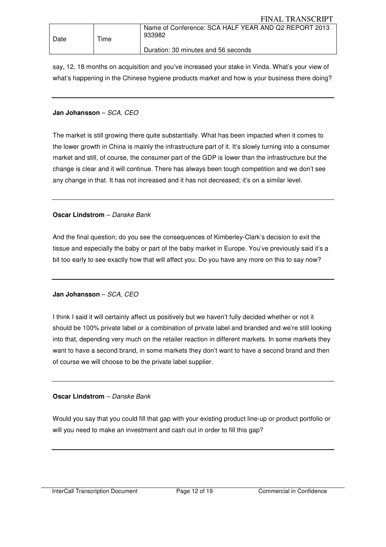say, 12, 18 months on acquisition and you've increased your stake in Vinda. What's your view of what's happening in the Chinese hygiene products market and how is your business there doing?

## **Jan Johansson** – SCA, CEO

The market is still growing there quite substantially. What has been impacted when it comes to the lower growth in China is mainly the infrastructure part of it. It's slowly turning into a consumer market and still, of course, the consumer part of the GDP is lower than the infrastructure but the change is clear and it will continue. There has always been tough competition and we don't see any change in that. It has not increased and it has not decreased; it's on a similar level.

## **Oscar Lindstrom** – Danske Bank

And the final question; do you see the consequences of Kimberley-Clark's decision to exit the tissue and especially the baby or part of the baby market in Europe. You've previously said it's a bit too early to see exactly how that will affect you. Do you have any more on this to say now?

## **Jan Johansson** – SCA, CEO

I think I said it will certainly affect us positively but we haven't fully decided whether or not it should be 100% private label or a combination of private label and branded and we're still looking into that, depending very much on the retailer reaction in different markets. In some markets they want to have a second brand, in some markets they don't want to have a second brand and then of course we will choose to be the private label supplier.

## **Oscar Lindstrom** – Danske Bank

Would you say that you could fill that gap with your existing product line-up or product portfolio or will you need to make an investment and cash out in order to fill this gap?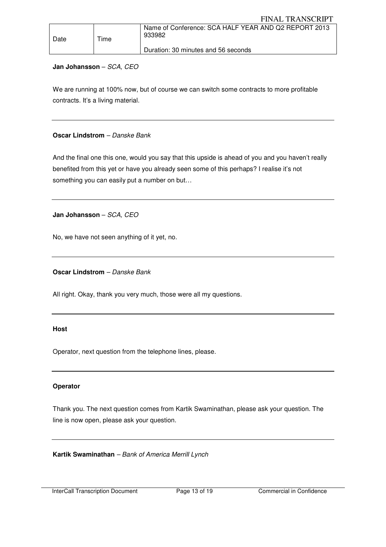| Date | Time | Name of Conference: SCA HALF YEAR AND Q2 REPORT 2013<br>933982 |
|------|------|----------------------------------------------------------------|
|      |      | Duration: 30 minutes and 56 seconds                            |

## **Jan Johansson** – SCA, CEO

We are running at 100% now, but of course we can switch some contracts to more profitable contracts. It's a living material.

## **Oscar Lindstrom** – Danske Bank

And the final one this one, would you say that this upside is ahead of you and you haven't really benefited from this yet or have you already seen some of this perhaps? I realise it's not something you can easily put a number on but…

**Jan Johansson** – SCA, CEO

No, we have not seen anything of it yet, no.

**Oscar Lindstrom** – Danske Bank

All right. Okay, thank you very much, those were all my questions.

#### **Host**

Operator, next question from the telephone lines, please.

## **Operator**

Thank you. The next question comes from Kartik Swaminathan, please ask your question. The line is now open, please ask your question.

**Kartik Swaminathan** – Bank of America Merrill Lynch

InterCall Transcription Document Page 13 of 19 Commercial in Confidence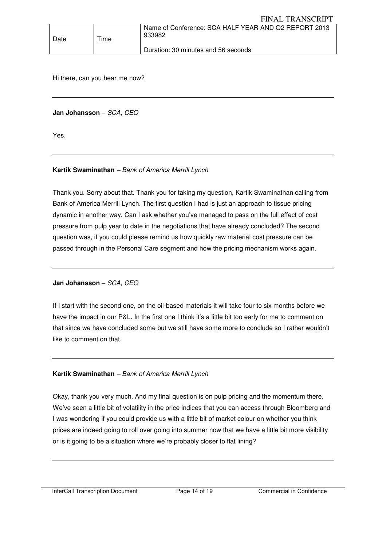| Date | Time | Name of Conference: SCA HALF YEAR AND Q2 REPORT 2013<br>933982 |
|------|------|----------------------------------------------------------------|
|      |      | Duration: 30 minutes and 56 seconds                            |

Hi there, can you hear me now?

**Jan Johansson** – SCA, CEO

Yes.

## **Kartik Swaminathan** – Bank of America Merrill Lynch

Thank you. Sorry about that. Thank you for taking my question, Kartik Swaminathan calling from Bank of America Merrill Lynch. The first question I had is just an approach to tissue pricing dynamic in another way. Can I ask whether you've managed to pass on the full effect of cost pressure from pulp year to date in the negotiations that have already concluded? The second question was, if you could please remind us how quickly raw material cost pressure can be passed through in the Personal Care segment and how the pricing mechanism works again.

#### **Jan Johansson** – SCA, CEO

If I start with the second one, on the oil-based materials it will take four to six months before we have the impact in our P&L. In the first one I think it's a little bit too early for me to comment on that since we have concluded some but we still have some more to conclude so I rather wouldn't like to comment on that.

#### **Kartik Swaminathan** – Bank of America Merrill Lynch

Okay, thank you very much. And my final question is on pulp pricing and the momentum there. We've seen a little bit of volatility in the price indices that you can access through Bloomberg and I was wondering if you could provide us with a little bit of market colour on whether you think prices are indeed going to roll over going into summer now that we have a little bit more visibility or is it going to be a situation where we're probably closer to flat lining?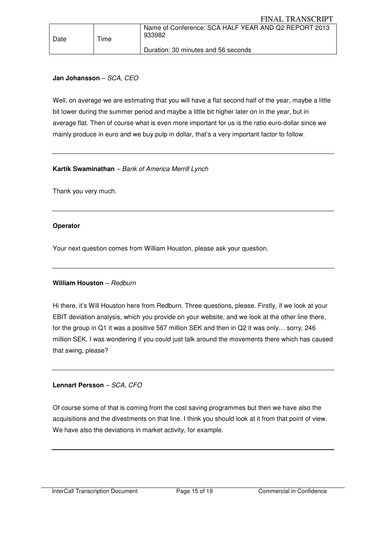## **Jan Johansson** – SCA, CEO

Date | Time

Well, on average we are estimating that you will have a flat second half of the year, maybe a little bit lower during the summer period and maybe a little bit higher later on in the year, but in average flat. Then of course what is even more important for us is the ratio euro-dollar since we mainly produce in euro and we buy pulp in dollar, that's a very important factor to follow.

Duration: 30 minutes and 56 seconds

#### **Kartik Swaminathan** – Bank of America Merrill Lynch

Thank you very much.

#### **Operator**

Your next question comes from William Houston, please ask your question.

#### **William Houston** – Redburn

Hi there, it's Will Houston here from Redburn. Three questions, please. Firstly, if we look at your EBIT deviation analysis, which you provide on your website, and we look at the other line there, for the group in Q1 it was a positive 567 million SEK and then in Q2 it was only… sorry, 246 million SEK. I was wondering if you could just talk around the movements there which has caused that swing, please?

#### **Lennart Persson** – SCA, CFO

Of course some of that is coming from the cost saving programmes but then we have also the acquisitions and the divestments on that line. I think you should look at it from that point of view. We have also the deviations in market activity, for example.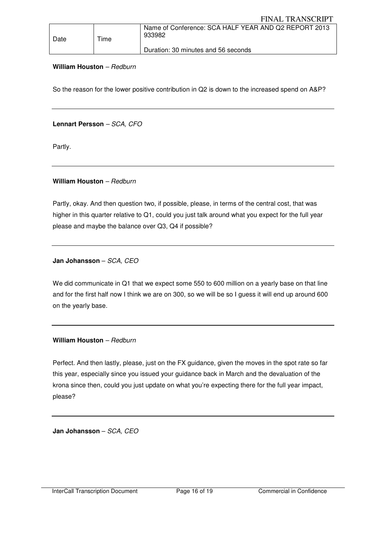| Date | Time | Name of Conference: SCA HALF YEAR AND Q2 REPORT 2013<br>933982 |
|------|------|----------------------------------------------------------------|
|      |      | Duration: 30 minutes and 56 seconds                            |

#### William Houston - Redburn

So the reason for the lower positive contribution in Q2 is down to the increased spend on A&P?

#### **Lennart Persson** – SCA, CFO

Partly.

## William Houston - Redburn

Partly, okay. And then question two, if possible, please, in terms of the central cost, that was higher in this quarter relative to Q1, could you just talk around what you expect for the full year please and maybe the balance over Q3, Q4 if possible?

## **Jan Johansson** – SCA, CEO

We did communicate in Q1 that we expect some 550 to 600 million on a yearly base on that line and for the first half now I think we are on 300, so we will be so I guess it will end up around 600 on the yearly base.

#### William Houston - Redburn

Perfect. And then lastly, please, just on the FX guidance, given the moves in the spot rate so far this year, especially since you issued your guidance back in March and the devaluation of the krona since then, could you just update on what you're expecting there for the full year impact, please?

**Jan Johansson** – SCA, CEO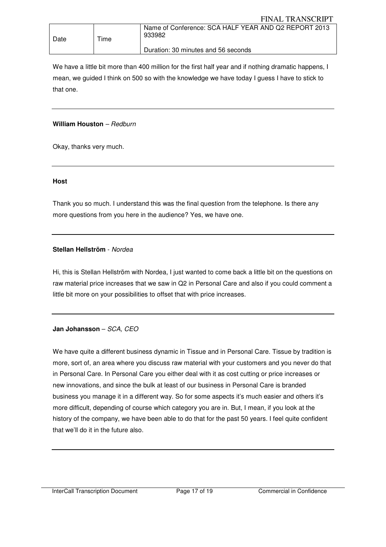| Date | $T$ ime | Name of Conference: SCA HALF YEAR AND Q2 REPORT 2013<br>933982 |
|------|---------|----------------------------------------------------------------|
|      |         | Duration: 30 minutes and 56 seconds                            |

We have a little bit more than 400 million for the first half year and if nothing dramatic happens, I mean, we guided I think on 500 so with the knowledge we have today I guess I have to stick to that one.

#### William Houston - Redburn

Okay, thanks very much.

#### **Host**

Thank you so much. I understand this was the final question from the telephone. Is there any more questions from you here in the audience? Yes, we have one.

## **Stellan Hellström** - Nordea

Hi, this is Stellan Hellström with Nordea, I just wanted to come back a little bit on the questions on raw material price increases that we saw in Q2 in Personal Care and also if you could comment a little bit more on your possibilities to offset that with price increases.

## **Jan Johansson** – SCA, CEO

We have quite a different business dynamic in Tissue and in Personal Care. Tissue by tradition is more, sort of, an area where you discuss raw material with your customers and you never do that in Personal Care. In Personal Care you either deal with it as cost cutting or price increases or new innovations, and since the bulk at least of our business in Personal Care is branded business you manage it in a different way. So for some aspects it's much easier and others it's more difficult, depending of course which category you are in. But, I mean, if you look at the history of the company, we have been able to do that for the past 50 years. I feel quite confident that we'll do it in the future also.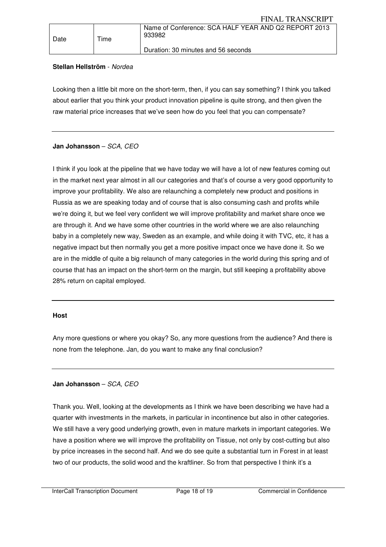## **Stellan Hellström** - Nordea

Date | Time

Looking then a little bit more on the short-term, then, if you can say something? I think you talked about earlier that you think your product innovation pipeline is quite strong, and then given the raw material price increases that we've seen how do you feel that you can compensate?

## **Jan Johansson** – SCA, CEO

I think if you look at the pipeline that we have today we will have a lot of new features coming out in the market next year almost in all our categories and that's of course a very good opportunity to improve your profitability. We also are relaunching a completely new product and positions in Russia as we are speaking today and of course that is also consuming cash and profits while we're doing it, but we feel very confident we will improve profitability and market share once we are through it. And we have some other countries in the world where we are also relaunching baby in a completely new way, Sweden as an example, and while doing it with TVC, etc, it has a negative impact but then normally you get a more positive impact once we have done it. So we are in the middle of quite a big relaunch of many categories in the world during this spring and of course that has an impact on the short-term on the margin, but still keeping a profitability above 28% return on capital employed.

#### **Host**

Any more questions or where you okay? So, any more questions from the audience? And there is none from the telephone. Jan, do you want to make any final conclusion?

#### **Jan Johansson** – SCA, CEO

Thank you. Well, looking at the developments as I think we have been describing we have had a quarter with investments in the markets, in particular in incontinence but also in other categories. We still have a very good underlying growth, even in mature markets in important categories. We have a position where we will improve the profitability on Tissue, not only by cost-cutting but also by price increases in the second half. And we do see quite a substantial turn in Forest in at least two of our products, the solid wood and the kraftliner. So from that perspective I think it's a